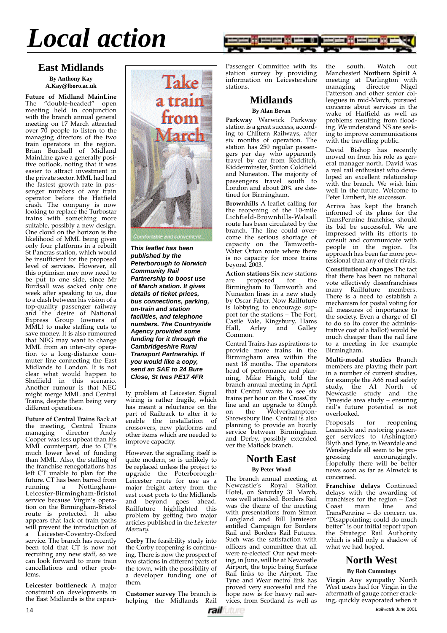# *Local action*

## **East Midlands**

**By Anthony Kay A.Kay@lboro.ac.uk** 

**Future of Midland MainLine** The "double-headed" open meeting held in conjunction with the branch annual general meeting on 17 March attracted over  $70$  people to listen to the managing directors of the two train operators in the region. Brian Burdsall of Midland MainLine gave a generally positive outlook, noting that it was easier to attract investment in the private sector. MML had had the fastest growth rate in passenger numbers of any train operator before the Hatfield crash. The company is now looking to replace the Turbostar trains with something more suitable, possibly a new design. One cloud on the horizon is the likelihood of MML being given only four platforms in a rebuilt St Pancras station, which would be insufficient for the proposed level of services. However, all this optimism may now need to be put to one side, since Mr Burdsall was sacked only one week after speaking to us, due to a clash between his vision of a top-quality passenger railway and the desire of National Express Group (owners of MML) to make staffing cuts to save money. It is also rumoured that NEG may want to change MML from an inter-city operation to a long-distance commuter line connecting the East Midlands to London. It is not clear what would happen to Sheffield in this scenario. Another rumour is that NEG might merge MML and Central Trains, despite them being very different operations.

**Future of Central Trains** Back at the meeting, Central Trains managing director Andy Cooper was less upbeat than his MML counterpart, due to CT's much lower level of funding than MML. Also, the stalling of the franchise renegotiations has left CT unable to plan for the future. CT has been barred from<br>running a Nottingham-Nottingham-Leicester-Birmingham-Bristol service because Virgin's operation on the Birmingham-Bristol route is protected. It also appears that lack of train paths will prevent the introduction of<br>a Leicester-Coventry-Oxford Leicester-Coventry-Oxford service. The branch has recently been told that CT is now not recruiting any new staff, so we can look forward to more train cancellations and other problems.

**Leicester bottleneck** A major constraint on developments in the East Midlands is the capaci-



**This leaflet has been published by the Peterborough to Norwich Community Rail Partnership to boost use of March station. It gives details of ticket prices, bus connections, parking, on-train and station facilities, and telephone numbers. The Countryside Agency provided some funding for it through the Cambridgeshire Rural Transport Partnership. If you would like a copy, send an SAE to 24 Bure Close, St Ives PE17 4FR**

ty problem at Leicester. Signal wiring is rather fragile, which has meant a reluctance on the part of Railtrack to alter it to enable the installation of crossovers, new platforms and other items which are needed to improve capacity.

However, the signalling itself is quite modern, so is unlikely to be replaced unless the project to upgrade the Peterborough-Leicester route for use as a major freight artery from the east coast ports to the Midlands and beyond goes ahead. Railfuture highlighted this problem by getting two major articles published in the *Leicester Mercury.*

**Corby** The feasibility study into the Corby reopening is continuing. There is now the prospect of two stations in different parts of the town, with the possibility of a developer funding one of them.

**Customer survey** The branch is helping the Midlands Rail



Passenger Committee with its station survey by providing information on Leicestershire stations.

# **Midlands**

### **By Alan Bevan**

**Parkway** Warwick Parkway station is a great success, according to Chiltern Railways, after six months of operation. The station has 250 regular passengers per day who apparently travel by car from Redditch, Kidderminster, Sutton Coldfield and Nuneaton. The majority of passengers travel south to London and about 20% are destined for Birmingham.

**Brownhills** A leaflet calling for the reopening of the 10-mile Lichfield-Brownhills-Walsall route has been circulated by the branch. The line could overcome the serious shortage of capacity on the Tamworth-Water Orton route where there is no capacity for more trains beyond 2003.

**Action stations** Six new stations<br>are proposed for the are proposed Birmingham to Tamworth and Nuneaton lines in a new study by Oscar Faber. Now Railfuture is lobbying to encourage support for the stations – The Fort, Castle Vale, Kingsbury, Hams Hall, Arley and Galley Common.

Central Trains has aspirations to provide more trains in the Birmingham area within the next 18 months. The operators head of performance and planning, Mike Haigh, told the branch annual meeting in April that Central wants to see six trains per hour on the CrossCity line and an upgrade to 80mph Wolverhampton-Shrewsbury line. Central is also planning to provide an hourly service between Birmingham and Derby, possibly extended ver the Matlock branch.

### **North East**

### **By Peter Wood**

The branch annual meeting, at Newcastle's Royal Station Hotel, on Saturday 31 March, was well attended. Borders Rail was the theme of the meeting with presentations from Simon Longland and Bill Jamieson entitled Campaign for Borders Rail and Borders Rail Futures. Such was the satisfaction with officers and committee that all were re-elected! Our next meeting, in June, will be at Newcastle Airport, the topic being Surface Rail links to the Airport. The Tyne and Wear metro link has proved very successful and the hope now is for heavy rail services, from Scotland as well as

the south. Watch out Manchester! **Northern Spirit** A meeting at Darlington with managing director Nigel Patterson and other senior colleagues in mid-March, pursued concerns about services in the wake of Hatfield as well as problems resulting from flooding. We understand NS are seeking to improve communications with the travelling public.

David Bishop has recently moved on from his role as general manager north. David was a real rail enthusiast who developed an excellent relationship with the branch. We wish him well in the future. Welcome to Peter Limbert, his successor.

Arriva has kept the branch informed of its plans for the TransPennine franchise, should its bid be successful. We are impressed with its efforts to consult and communicate with people in the region. Its approach has been far more professional than any of their rivals.

**Constitutional changes** The fact that there has been no national vote effectively disenfranchises many Railfuture members. There is a need to establish a mechanism for postal voting for all measures of importance to the society. Even a charge of £1 to do so (to cover the administrative cost of a ballot) would be much cheaper than the rail fare to a meeting in for example Birmingham.

**Multi-modal studies** Branch members are playing their part in a number of current studies, for example the A66 road safety study, the A1 North of Newcastle study and the Tyneside area study – ensuring rail's future potential is not overlooked.

Proposals for reopening Leamside and restoring passenger services to (Ashington) Blyth and Tyne, in Weardale and Wensleydale all seem to be progressing encouragingly. Hopefully there will be better news soon as far as Alnwick is concerned.

**Franchise delays** Continued delays with the awarding of franchises for the region – East<br>Coast main line and main TransPennine – do concern us. "Disappointing; could do much better" is our initial report upon the Strategic Rail Authority which is still only a shadow of what we had hoped.

# **North West**

### **By Rob Cummings**

**Virgin** Any sympathy North West users had for Virgin in the aftermath of gauge corner cracking, quickly evaporated when it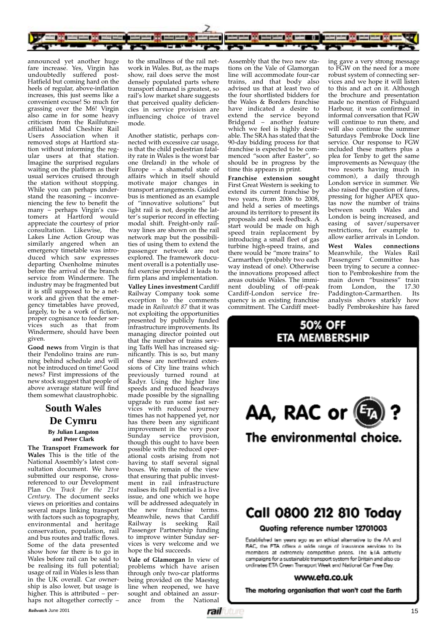

announced yet another huge fare increase. Yes, Virgin has undoubtedly suffered post-Hatfield but coming hard on the heels of regular, above-inflation increases, this just seems like a convenient excuse! So much for grassing over the M6! Virgin also came in for some heavy criticism from the Railfutureaffiliated Mid Cheshire Rail Users Association when it removed stops at Hartford station without informing the regular users at that station. Imagine the surprised regulars waiting on the platform as their usual services cruised through the station without stopping. While you can perhaps understand the reasoning – inconveniencing the few to benefit the many – perhaps Virgin's customers at Hartford would appreciate the courtesy of prior consultation. Likewise, the Lakes Line Action Group was similarly angered when an emergency timetable was introduced which saw expresses departing Oxenholme minutes before the arrival of the branch service from Windermere. The industry may be fragmented but it is still supposed to be a network and given that the emergency timetables have proved, largely, to be a work of fiction, proper cognisance to feeder services such as that from Windermere, should have been given.

**Good news** from Virgin is that their Pendolino trains are running behind schedule and will not be introduced on time! Good news? First impressions of the new stock suggest that people of above average stature will find them somewhat claustrophobic.

# **South Wales De Cymru**

**By Julian Langston and Peter Clark**

**The Transport Framework for Wales** This is the title of the National Assembly's latest consultation document. We have submitted our response, crossreferenced to our Development Plan *On Track for the 21st Century*. The document seeks views on priorities and contains several maps linking transport with factors such as topography, environmental and heritage conservation, population, rail and bus routes and traffic flows. Some of the data presented show how far there is to go in Wales before rail can be said to be realising its full potential; usage of rail in Wales is less than in the UK overall. Car ownership is also lower, but usage is higher. This is attributed – perhaps not altogether correctly –

to the smallness of the rail network in Wales. But, as the maps show, rail does serve the most densely populated parts where transport demand is greatest, so rail's low market share suggests that perceived quality deficiencies in service provision are influencing choice of travel mode.

Another statistic, perhaps connected with excessive car usage, is that the child pedestrian fatality rate in Wales is the worst bar one (Ireland) in the whole of Europe – a shameful state of affairs which in itself should motivate major changes in transport arrangements. Guided bus is mentioned as an example of "innovative solutions" but light rail is not, despite the latter's superior record in effecting modal shift. Freight-only railway lines are shown on the rail network map but the possibilities of using them to extend the passenger network are not explored. The framework document overall is a potentially useful exercise provided it leads to firm plans and implementation.

**Valley Lines investment** Cardiff Railway Company took some exception to the comments made in *Railwatch 87* that it was not exploiting the opportunities presented by publicly funded infrastructure improvements. Its managing director pointed out that the number of trains serving Taffs Well has increased significantly. This is so, but many of these are northward extensions of City line trains which previously turned round at Radyr. Using the higher line speeds and reduced headways made possible by the signalling upgrade to run some fast services with reduced journey times has not happened yet, nor has there been any significant improvement in the very poor Sunday service provision, though this ought to have been possible with the reduced operational costs arising from not having to staff several signal boxes. We remain of the view that ensuring that public investment in rail infrastructure realises its full potential is a live issue, and one which we hope will be addressed adequately in the new franchise terms. Meanwhile, news that Cardiff Railway is seeking Rail Passenger Partnership funding to improve winter Sunday services is very welcome and we hope the bid succeeds.

**Vale of Glamorgan** In view of problems which have arisen through only two-car platforms being provided on the Maesteg line when reopened, we have sought and obtained an assurance from the National

Assembly that the two new stations on the Vale of Glamorgan line will accommodate four-car trains, and that body also advised us that at least two of the four shortlisted bidders for the Wales & Borders franchise have indicated a desire to extend the service beyond Bridgend – another feature which we feel is highly desirable. The SRA has stated that the 90-day bidding process for that franchise is expected to be commenced "soon after Easter", so should be in progress by the time this appears in print.

**Franchise extension sought** First Great Western is seeking to extend its current franchise by two years, from 2006 to 2008, and held a series of meetings around its territory to present its proposals and seek feedback. A start would be made on high speed train replacement by introducing a small fleet of gas turbine high-speed trains, and there would be "more trains" to Carmarthen (probably two each way instead of one). Otherwise the innovations proposed affect areas outside Wales. The imminent doubling of off-peak Cardiff-London service frequency is an existing franchise commitment. The Cardiff meeting gave a very strong message to FGW on the need for a more robust system of connecting services and we hope it will listen to this and act on it. Although the brochure and presentation made no mention of Fishguard Harbour, it was confirmed in informal conversation that FGW will continue to run there, and will also continue the summer Saturdays Pembroke Dock line service. Our response to FGW included these matters plus a plea for Tenby to get the same improvements as Newquay (the two resorts having much in common), a daily through London service in summer. We also raised the question of fares, pressing for higher APEX quotas now the number of trains between south Wales and London is being increased, and easing of saver/supersaver restrictions, for example to allow earlier arrivals in London. **West Wales connections**

Meanwhile, the Wales Rail<br>Passengers' Committee has Committee has been trying to secure a connection to Pembrokeshire from the<br>main down "business" train main down "business"<br>from London, the London, the 17.30 Paddington-Carmarthen. Its analysis shows starkly how badly Pembrokeshire has fared

AA, RAC or  $\mathbb{G}$ 

**50% OFF ETA MEMBERSHIP** 

The environmental choice.

# Call 0800 212 810 Today

Quoting reference number 12701003

Established ten years ago as an ethical alternative to the AA and RAC, the FTA offers a wide range of insurance services to its members at extremely competitive prices. The ETA actively campaigns for a sustainable transport system for Britain and also coordinates ETA Green Transport Week and National Car Free Day.

### www.eta.co.uk

The motoring organisation that won't cost the Earth

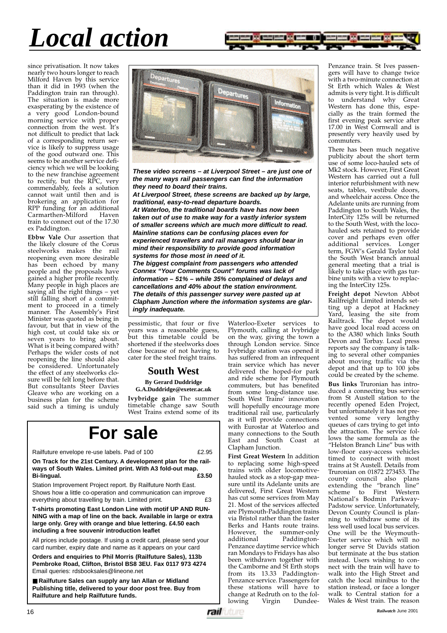# *Local action*



since privatisation. It now takes nearly two hours longer to reach Milford Haven by this service than it did in 1993 (when the Paddington train ran through). The situation is made more exasperating by the existence of a very good London-bound morning service with proper connection from the west. It's not difficult to predict that lack of a corresponding return service is likely to suppress usage of the good outward one. This seems to be another service deficiency which we will be looking to the new franchise agreement to rectify, but the RPC, very commendably, feels a solution cannot wait until then and is brokering an application for RPP funding for an additional<br>Carmarthen-Milford Haven Carmarthen-Milford train to connect out of the 17.30 ex Paddington.

**Ebbw Vale** Our assertion that the likely closure of the Corus steelworks makes the rail reopening even more desirable has been echoed by many people and the proposals have gained a higher profile recently. Many people in high places are saying all the right things  $-$  yet still falling short of a commitment to proceed in a timely manner. The Assembly's First Minister was quoted as being in favour, but that in view of the high cost, ut could take six or seven years to bring about. What is it being compared with? Perhaps the wider costs of not reopening the line should also be considered. Unfortunately the effect of any steelworks closure will be felt long before that. But consultants Steer Davies Gleave who are working on a business plan for the scheme said such a timing is unduly



**These video screens – at Liverpool Street – are just one of the many ways rail passengers can find the information they need to board their trains.**

**At Liverpool Street, these screens are backed up by large, traditional, easy-to-read departure boards.**

**At Waterloo, the traditional boards have has now been taken out of use to make way for a vastly inferior system of smaller screens which are much more difficult to read. Mainline stations can be confusing places even for experienced travellers and rail managers should bear in mind their responsibility to provide good information systems for those most in need of it.**

**The biggest complaint from passengers who attended Connex "Your Comments Count" forums was lack of information – 51% – while 35% complained of delays and cancellations and 40% about the station environment. The details of this passenger survey were pasted up at Clapham Junction where the information systems are glaringly inadequate.**

pessimistic, that four or five years was a reasonable guess, but this timetable could be shortened if the steelworks does close because of not having to cater for the steel freight trains.

### **South West**

#### **By Gerard Duddridge G.A.Duddridge@exeter.ac.uk**

**Ivybridge gain** The summer timetable change saw South West Trains extend some of its

# **For sale**

Railfuture envelope re-use labels. Pad of 100  $£2.95$ 

**On Track for the 21st Century. A development plan for the railways of South Wales. Limited print. With A3 fold-out map. Bi-lingual. £3.50** 

Station Improvement Project report. By Railfuture North East. Shows how a little co-operation and communication can improve everything about travelling by train. Limited print.  $£3$ 

**T-shirts promoting East London Line with motif UP AND RUN-NING with a map of line on the back. Available in large or extra large only. Grey with orange and blue lettering. £4.50 each including a free souvenir introduction leaflet** 

All prices include postage. If using a credit card, please send your card number, expiry date and name as it appears on your card

**Orders and enquiries to Phil Morris (Railfuture Sales), 113b Pembroke Road, Clifton, Bristol BS8 3EU. Fax 0117 973 4274** Email queries: rdsbooksales@lineone.net

■ **Railfuture Sales can supply any Ian Allan or Midland Publishing title, delivered to your door post free. Buy from Railfuture and help Railfuture funds.**

Waterloo-Exeter services to Plymouth, calling at Ivybridge on the way, giving the town a through London service. Since Ivybridge station was opened it has suffered from an infrequent train service which has never delivered the hoped-for park and ride scheme for Plymouth commuters, but has benefited from some long-distance use. South West Trains' innovation will hopefully encourage more traditional rail use, particularly as it will provide connections with Eurostar at Waterloo and many connections to the South East and South Coast at Clapham Junction.

**First Great Western** In addition to replacing some high-speed trains with older locomotivehauled stock as a stop-gap measure until its Adelante units are delivered, First Great Western has cut some services from May 21. Most of the services affected are Plymouth-Paddington trains via Bristol rather than the faster Berks and Hants route trains. However, the summer-only<br>additional Paddington-Paddington-Penzance daytime service which ran Mondays to Fridays has also been withdrawn together with the Camborne and St Erth stops from its 13.33 Paddington-Penzance service. Passengers for these stations will have to change at Redruth on to the fol-<br>lowing Virgin Dundee-Dundee-

Penzance train. St Ives passengers will have to change twice with a two-minute connection at St Erth which Wales & West admits is very tight. It is difficult to understand why Great Western has done this, especially as the train formed the first evening peak service after 17.00 in West Cornwall and is presently very heavily used by commuters.

There has been much negative publicity about the short term use of some loco-hauled sets of Mk2 stock. However, First Great Western has carried out a full interior refurbishment with new seats, tables, vestibule doors, and wheelchair access. Once the Adelante units are running from Paddington to South Wales, the InterCity 125s will be returned to the South West, with the locohauled sets retained to provide cover and perhaps even offer additional services. Longer term, FGW's Gerald Taylor told the South West branch annual general meeting that a trial is likely to take place with gas turbine units with a view to replacing the InterCity 125s.

**Freight depot** Newton Abbot Railfreight Limited intends setting up a depot at Hackney Yard, leasing the site from Railtrack. The depot would have good local road access on to the A380 which links South Devon and Torbay. Local press reports say the company is talking to several other companies about moving traffic via the depot and that up to 100 jobs could be created by the scheme.

**Bus links** Truronian has introduced a connecting bus service from St Austell station to the recently opened Eden Project, but unfortunately it has not prevented some very lengthy queues of cars trying to get into the attraction. The service follows the same formula as the "Helston Branch Line" bus with low-floor easy-access vehicles timed to connect with most trains at St Austell. Details from Truronian on 01872 273453. The county council also plans extending the "branch line" scheme to First Western National's Bodmin Parkway-Padstow service. Unfortunately, Devon County Council is planning to withdraw some of its less well used local bus services. One will be the Weymouth-Exeter service which will no longer serve St Davids station but terminate at the bus station instead. Users wishing to connect with the train will have to walk into the High Street and catch the local minibus to the station instead, or face a longer walk to Central station for a Wales & West train. The reason